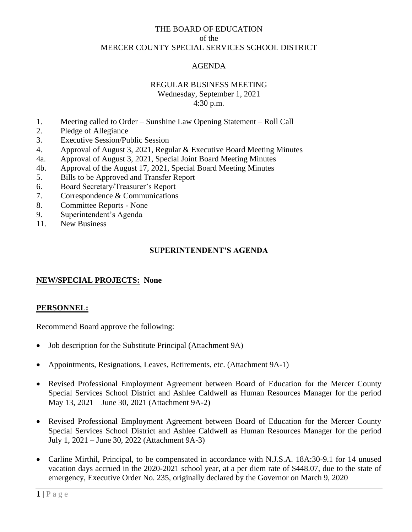# THE BOARD OF EDUCATION of the MERCER COUNTY SPECIAL SERVICES SCHOOL DISTRICT

# AGENDA

## REGULAR BUSINESS MEETING

Wednesday, September 1, 2021 4:30 p.m.

- 1. Meeting called to Order Sunshine Law Opening Statement Roll Call
- 2. Pledge of Allegiance
- 3. Executive Session/Public Session
- 4. Approval of August 3, 2021, Regular & Executive Board Meeting Minutes
- 4a. Approval of August 3, 2021, Special Joint Board Meeting Minutes
- 4b. Approval of the August 17, 2021, Special Board Meeting Minutes
- 5. Bills to be Approved and Transfer Report
- 6. Board Secretary/Treasurer's Report
- 7. Correspondence & Communications
- 8. Committee Reports None
- 9. Superintendent's Agenda
- 11. New Business

# **SUPERINTENDENT'S AGENDA**

# **NEW/SPECIAL PROJECTS: None**

## **PERSONNEL:**

Recommend Board approve the following:

- Job description for the Substitute Principal (Attachment 9A)
- Appointments, Resignations, Leaves, Retirements, etc. (Attachment 9A-1)
- Revised Professional Employment Agreement between Board of Education for the Mercer County Special Services School District and Ashlee Caldwell as Human Resources Manager for the period May 13, 2021 – June 30, 2021 (Attachment 9A-2)
- Revised Professional Employment Agreement between Board of Education for the Mercer County Special Services School District and Ashlee Caldwell as Human Resources Manager for the period July 1, 2021 – June 30, 2022 (Attachment 9A-3)
- Carline Mirthil, Principal, to be compensated in accordance with N.J.S.A. 18A:30-9.1 for 14 unused vacation days accrued in the 2020-2021 school year, at a per diem rate of \$448.07, due to the state of emergency, Executive Order No. 235, originally declared by the Governor on March 9, 2020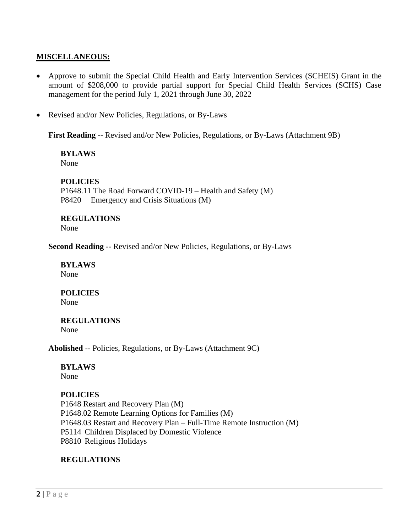## **MISCELLANEOUS:**

- Approve to submit the Special Child Health and Early Intervention Services (SCHEIS) Grant in the amount of \$208,000 to provide partial support for Special Child Health Services (SCHS) Case management for the period July 1, 2021 through June 30, 2022
- Revised and/or New Policies, Regulations, or By-Laws

**First Reading** -- Revised and/or New Policies, Regulations, or By-Laws (Attachment 9B)

**BYLAWS** None

## **POLICIES**

P1648.11 The Road Forward COVID-19 – Health and Safety (M) P8420 Emergency and Crisis Situations (M)

## **REGULATIONS**

None

**Second Reading** -- Revised and/or New Policies, Regulations, or By-Laws

#### **BYLAWS** None

# **POLICIES**

None

# **REGULATIONS**

None

**Abolished** -- Policies, Regulations, or By-Laws (Attachment 9C)

## **BYLAWS**

None

## **POLICIES**

P1648 Restart and Recovery Plan (M) P1648.02 Remote Learning Options for Families (M) P1648.03 Restart and Recovery Plan – Full-Time Remote Instruction (M) P5114 Children Displaced by Domestic Violence P8810 Religious Holidays

## **REGULATIONS**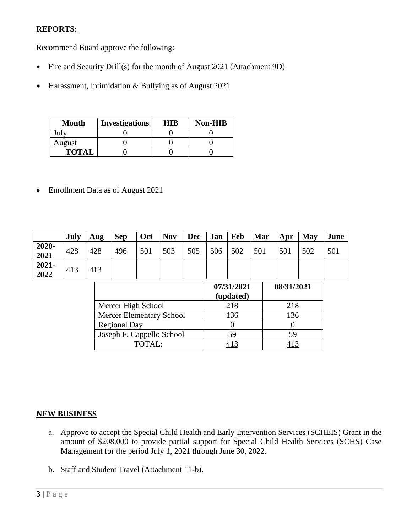# **REPORTS:**

Recommend Board approve the following:

- Fire and Security Drill(s) for the month of August 2021 (Attachment 9D)
- Harassment, Intimidation & Bullying as of August 2021

| <b>Month</b> | <b>Investigations</b> | HIB | <b>Non-HIB</b> |
|--------------|-----------------------|-----|----------------|
| July         |                       |     |                |
| August       |                       |     |                |
| <b>TOTAL</b> |                       |     |                |

• Enrollment Data as of August 2021

|                  | July | Aug | <b>Sep</b> | Oct | <b>Nov</b> | <b>Dec</b> | Jan                     | Feb | Mar | Apr        | May | June |
|------------------|------|-----|------------|-----|------------|------------|-------------------------|-----|-----|------------|-----|------|
| 2020-<br>2021    | 428  | 428 | 496        | 501 | 503        | 505        | 506                     | 502 | 501 | 501        | 502 | 501  |
| $2021 -$<br>2022 | 413  | 413 |            |     |            |            |                         |     |     |            |     |      |
|                  |      |     |            |     |            |            | 07/31/2021<br>(updated) |     |     | 08/31/2021 |     |      |

|                           | 07/31/2021<br>(updated) | 08/31/2021 |
|---------------------------|-------------------------|------------|
| Mercer High School        | 218                     | 218        |
| Mercer Elementary School  | 136                     | 136        |
| <b>Regional Day</b>       |                         |            |
| Joseph F. Cappello School | 59                      | 59         |
| TOTAI:                    |                         |            |

# **NEW BUSINESS**

- a. Approve to accept the Special Child Health and Early Intervention Services (SCHEIS) Grant in the amount of \$208,000 to provide partial support for Special Child Health Services (SCHS) Case Management for the period July 1, 2021 through June 30, 2022.
- b. Staff and Student Travel (Attachment 11-b).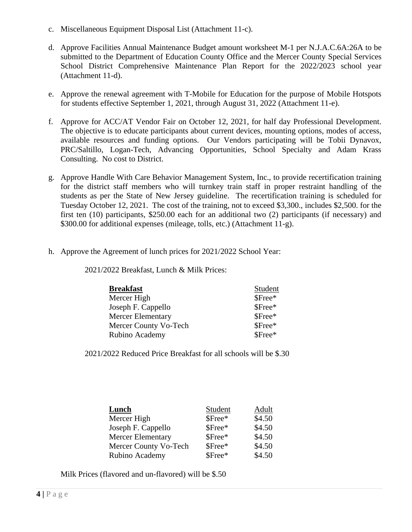- c. Miscellaneous Equipment Disposal List (Attachment 11-c).
- d. Approve Facilities Annual Maintenance Budget amount worksheet M-1 per N.J.A.C.6A:26A to be submitted to the Department of Education County Office and the Mercer County Special Services School District Comprehensive Maintenance Plan Report for the 2022/2023 school year (Attachment 11-d).
- e. Approve the renewal agreement with T-Mobile for Education for the purpose of Mobile Hotspots for students effective September 1, 2021, through August 31, 2022 (Attachment 11-e).
- f. Approve for ACC/AT Vendor Fair on October 12, 2021, for half day Professional Development. The objective is to educate participants about current devices, mounting options, modes of access, available resources and funding options. Our Vendors participating will be Tobii Dynavox, PRC/Saltillo, Logan-Tech, Advancing Opportunities, School Specialty and Adam Krass Consulting. No cost to District.
- g. Approve Handle With Care Behavior Management System, Inc., to provide recertification training for the district staff members who will turnkey train staff in proper restraint handling of the students as per the State of New Jersey guideline. The recertification training is scheduled for Tuesday October 12, 2021. The cost of the training, not to exceed \$3,300., includes \$2,500. for the first ten (10) participants, \$250.00 each for an additional two (2) participants (if necessary) and \$300.00 for additional expenses (mileage, tolls, etc.) (Attachment 11-g).
- h. Approve the Agreement of lunch prices for 2021/2022 School Year:

2021/2022 Breakfast, Lunch & Milk Prices:

| <b>Breakfast</b>         | Student |
|--------------------------|---------|
| Mercer High              | \$Free* |
| Joseph F. Cappello       | \$Free* |
| <b>Mercer Elementary</b> | \$Free* |
| Mercer County Vo-Tech    | \$Free* |
| Rubino Academy           | \$Free* |

2021/2022 Reduced Price Breakfast for all schools will be \$.30

| <b>Lunch</b>             | Student | Adult  |
|--------------------------|---------|--------|
| Mercer High              | \$Free* | \$4.50 |
| Joseph F. Cappello       | \$Free* | \$4.50 |
| <b>Mercer Elementary</b> | \$Free* | \$4.50 |
| Mercer County Vo-Tech    | \$Free* | \$4.50 |
| Rubino Academy           | \$Free* | \$4.50 |

Milk Prices (flavored and un-flavored) will be \$.50